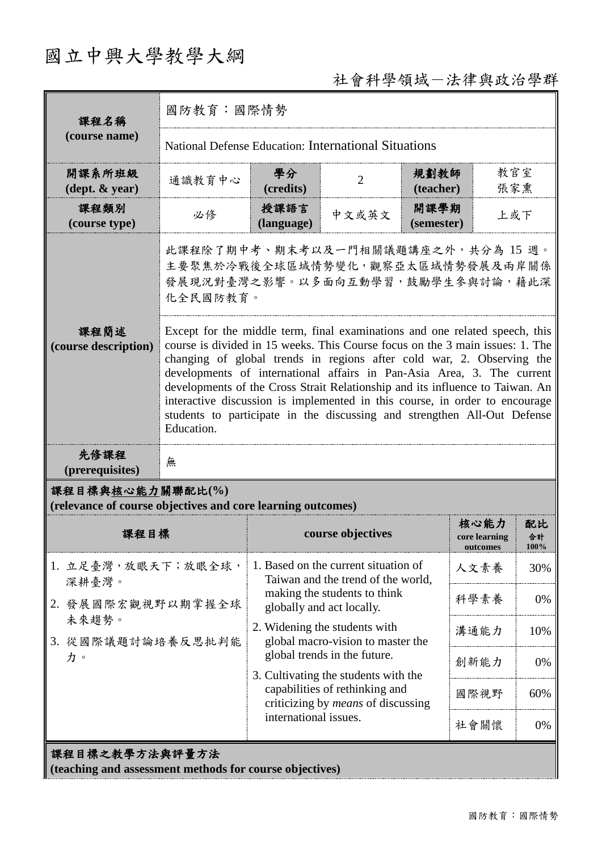# 國立中興大學教學大綱

# 社會科學領域-法律與政治學群

| 課程名稱<br>(course name)                                                           | 國防教育:國際情勢                                                                                                                                                                                                                                                                                                                                                                                                                                                                                                                                                                 |                                                                                                                                                                              |                   |                    |                                   |                         |  |
|---------------------------------------------------------------------------------|---------------------------------------------------------------------------------------------------------------------------------------------------------------------------------------------------------------------------------------------------------------------------------------------------------------------------------------------------------------------------------------------------------------------------------------------------------------------------------------------------------------------------------------------------------------------------|------------------------------------------------------------------------------------------------------------------------------------------------------------------------------|-------------------|--------------------|-----------------------------------|-------------------------|--|
|                                                                                 | National Defense Education: International Situations                                                                                                                                                                                                                                                                                                                                                                                                                                                                                                                      |                                                                                                                                                                              |                   |                    |                                   |                         |  |
| 開課系所班級<br>$(\text{dept.} \& \text{ year})$                                      | 通識教育中心                                                                                                                                                                                                                                                                                                                                                                                                                                                                                                                                                                    | 學分<br>(credits)                                                                                                                                                              | $\overline{2}$    | 規劃教師<br>(teacher)  | 教官室<br>張家熏                        |                         |  |
| 課程類別<br>(course type)                                                           | 必修                                                                                                                                                                                                                                                                                                                                                                                                                                                                                                                                                                        | 授課語言<br>(language)                                                                                                                                                           | 中文或英文             | 開課學期<br>(semester) | 上或下                               |                         |  |
|                                                                                 | 此課程除了期中考、期末考以及一門相關議題講座之外,共分為 15 週。<br>主要聚焦於冷戰後全球區域情勢變化, 觀察亞太區域情勢發展及兩岸關係<br>發展現況對臺灣之影響。以多面向互動學習,鼓勵學生參與討論,藉此深<br>化全民國防教育。                                                                                                                                                                                                                                                                                                                                                                                                                                                   |                                                                                                                                                                              |                   |                    |                                   |                         |  |
| 課程簡述<br>(course description)                                                    | Except for the middle term, final examinations and one related speech, this<br>course is divided in 15 weeks. This Course focus on the 3 main issues: 1. The<br>changing of global trends in regions after cold war, 2. Observing the<br>developments of international affairs in Pan-Asia Area, 3. The current<br>developments of the Cross Strait Relationship and its influence to Taiwan. An<br>interactive discussion is implemented in this course, in order to encourage<br>students to participate in the discussing and strengthen All-Out Defense<br>Education. |                                                                                                                                                                              |                   |                    |                                   |                         |  |
| 先修課程<br>(prerequisites)                                                         | 無                                                                                                                                                                                                                                                                                                                                                                                                                                                                                                                                                                         |                                                                                                                                                                              |                   |                    |                                   |                         |  |
| 課程目標與核心能力關聯配比(%)<br>(relevance of course objectives and core learning outcomes) |                                                                                                                                                                                                                                                                                                                                                                                                                                                                                                                                                                           |                                                                                                                                                                              |                   |                    |                                   |                         |  |
| 課程目標                                                                            |                                                                                                                                                                                                                                                                                                                                                                                                                                                                                                                                                                           |                                                                                                                                                                              | course objectives |                    | 核心能力<br>core learning<br>outcomes | 配比<br>合計<br><b>100%</b> |  |
| 1. 立足臺灣,放眼天下;放眼全球,<br>深耕臺灣。                                                     |                                                                                                                                                                                                                                                                                                                                                                                                                                                                                                                                                                           | 1. Based on the current situation of<br>Taiwan and the trend of the world,<br>making the students to think<br>globally and act locally.                                      |                   |                    | 人文素養                              | 30%                     |  |
| 2. 發展國際宏觀視野以期掌握全球<br>未來趨勢。<br>3. 從國際議題討論培養反思批判能<br>力。                           |                                                                                                                                                                                                                                                                                                                                                                                                                                                                                                                                                                           |                                                                                                                                                                              |                   |                    | 科學素養                              | 0%                      |  |
|                                                                                 |                                                                                                                                                                                                                                                                                                                                                                                                                                                                                                                                                                           | 2. Widening the students with<br>global macro-vision to master the                                                                                                           |                   |                    | 溝通能力                              | 10%                     |  |
|                                                                                 |                                                                                                                                                                                                                                                                                                                                                                                                                                                                                                                                                                           | global trends in the future.<br>3. Cultivating the students with the<br>capabilities of rethinking and<br>criticizing by <i>means</i> of discussing<br>international issues. |                   |                    | 創新能力                              | 0%                      |  |
|                                                                                 |                                                                                                                                                                                                                                                                                                                                                                                                                                                                                                                                                                           |                                                                                                                                                                              |                   |                    | 國際視野                              | 60%                     |  |
|                                                                                 |                                                                                                                                                                                                                                                                                                                                                                                                                                                                                                                                                                           |                                                                                                                                                                              |                   |                    | 社會關懷                              | 0%                      |  |
| 課程目標之教學方法與評量方法<br>(teaching and assessment methods for course objectives)       |                                                                                                                                                                                                                                                                                                                                                                                                                                                                                                                                                                           |                                                                                                                                                                              |                   |                    |                                   |                         |  |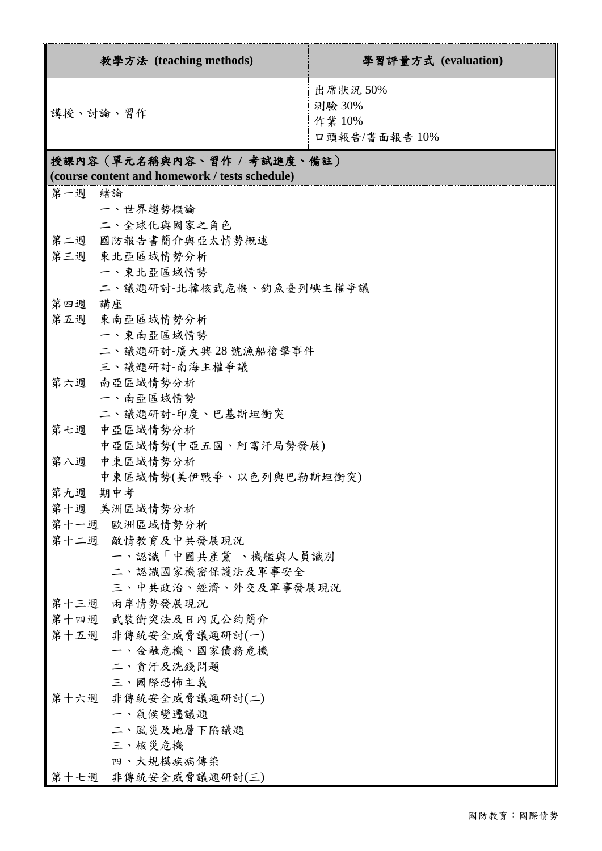| 教學方法 (teaching methods)                                                      | 學習評量方式 (evaluation)                           |  |  |  |  |
|------------------------------------------------------------------------------|-----------------------------------------------|--|--|--|--|
| 講授、討論、習作                                                                     | 出席狀況 50%<br>測驗 30%<br>作業 10%<br>口頭報告/書面報告 10% |  |  |  |  |
| 授課內容(單元名稱與內容、習作 / 考試進度、備註)<br>(course content and homework / tests schedule) |                                               |  |  |  |  |
| 第一週 緒論                                                                       |                                               |  |  |  |  |
| 一、世界趨勢概論                                                                     |                                               |  |  |  |  |
| 二、全球化與國家之角色                                                                  |                                               |  |  |  |  |
| 第二週 國防報告書簡介與亞太情勢概述                                                           |                                               |  |  |  |  |
| 第三週 東北亞區域情勢分析                                                                |                                               |  |  |  |  |
| 一、東北亞區域情勢                                                                    |                                               |  |  |  |  |
| 二、議題研討-北韓核武危機、釣魚臺列嶼主權爭議                                                      |                                               |  |  |  |  |
| 第四週 講座                                                                       |                                               |  |  |  |  |
| 第五週<br>東南亞區域情勢分析                                                             |                                               |  |  |  |  |
| 一、東南亞區域情勢                                                                    |                                               |  |  |  |  |
| 二、議題研討-廣大興28號漁船槍擊事件                                                          |                                               |  |  |  |  |
| 三、議題研討-南海主權爭議                                                                |                                               |  |  |  |  |
| 第六週 南亞區域情勢分析                                                                 |                                               |  |  |  |  |
| 一、南亞區域情勢                                                                     |                                               |  |  |  |  |
| 二、議題研討-印度、巴基斯坦衝突                                                             |                                               |  |  |  |  |
| 第七週 中亞區域情勢分析                                                                 |                                               |  |  |  |  |
| 中亞區域情勢(中亞五國、阿富汗局勢發展)                                                         |                                               |  |  |  |  |
| 中東區域情勢分析<br>第八週                                                              |                                               |  |  |  |  |
| 中東區域情勢(美伊戰爭、以色列與巴勒斯坦衝突)                                                      |                                               |  |  |  |  |
| 期中考<br>第九週                                                                   |                                               |  |  |  |  |
| 第十週 美洲區域情勢分析                                                                 |                                               |  |  |  |  |
| 第十一週 歐洲區域情勢分析                                                                |                                               |  |  |  |  |
| 第十二週 敵情教育及中共發展現況                                                             |                                               |  |  |  |  |
| 一、認識「中國共產黨」、機艦與人員識別                                                          |                                               |  |  |  |  |
| 二、認識國家機密保護法及軍事安全                                                             |                                               |  |  |  |  |
| 三、中共政治、經濟、外交及軍事發展現況<br>兩岸情勢發展現況                                              |                                               |  |  |  |  |
| 第十三週<br>第十四週 武裝衝突法及日內瓦公約簡介                                                   |                                               |  |  |  |  |
| 第十五週 非傳統安全威脅議題研討(一)                                                          |                                               |  |  |  |  |
| 一、金融危機、國家債務危機                                                                |                                               |  |  |  |  |
| 二、貪汙及洗錢問題                                                                    |                                               |  |  |  |  |
| 三、國際恐怖主義                                                                     |                                               |  |  |  |  |
| 非傳統安全威脅議題研討(二)<br>第十六週                                                       |                                               |  |  |  |  |
| 一、氣候變遷議題                                                                     |                                               |  |  |  |  |
| 二、風災及地層下陷議題                                                                  |                                               |  |  |  |  |
| 三、核災危機                                                                       |                                               |  |  |  |  |
| 四、大規模疾病傳染                                                                    |                                               |  |  |  |  |
| 第十七週 非傳統安全威脅議題研討(三)                                                          |                                               |  |  |  |  |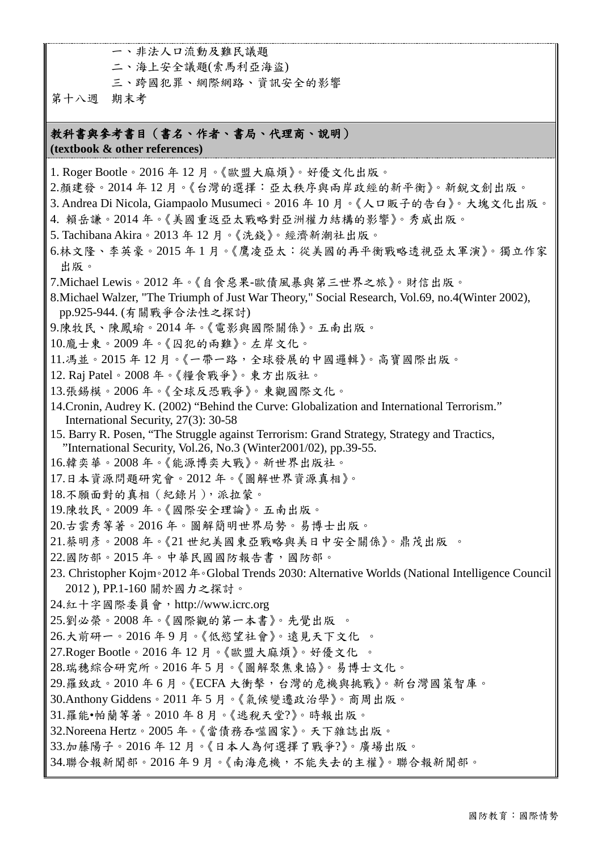一、非法人口流動及難民議題

二、海上安全議題(索馬利亞海盜)

三、跨國犯罪、網際網路、資訊安全的影響

第十八週 期末考

#### 教科書與參考書目(書名、作者、書局、代理商、說明) **(textbook & other references)**

1. Roger Bootle。2016 年 12 月。《歐盟大麻煩》。好優文化出版。

- 2.顏建發。2014 年 12 月。《台灣的選擇:亞太秩序與兩岸政經的新平衡》。新銳文創出版。
- 3. Andrea Di Nicola, Giampaolo Musumeci。2016 年 10 月。《人口販子的告白》。大塊文化出版。
- 4. 賴岳謙。2014 年。《美國重返亞太戰略對亞洲權力結構的影響》。秀威出版。
- 5. Tachibana Akira。2013 年 12 月。《洗錢》。經濟新潮社出版。
- 6.林文隆、李英豪。2015 年 1 月。《鷹凌亞太:從美國的再平衡戰略透視亞太軍演》。獨立作家 出版。
- 7.Michael Lewis。2012 年。《自食惡果-歐債風暴與第三世界之旅》。財信出版。
- 8.Michael Walzer, "The Triumph of Just War Theory," Social Research, Vol.69, no.4(Winter 2002), pp.925-944. (有關戰爭合法性之探討)
- 9.陳牧民、陳鳳瑜。2014 年。《電影與國際關係》。五南出版。
- 10.龐士東。2009 年。《囚犯的兩難》。左岸文化。
- 11.馮並。2015 年 12 月。《一帶一路,全球發展的中國邏輯》。高寶國際出版。
- 12. Raj Patel。2008 年。《糧食戰爭》。東方出版社。
- 13.張錫模。2006 年。《全球反恐戰爭》。東觀國際文化。
- 14.Cronin, Audrey K. (2002) "Behind the Curve: Globalization and International Terrorism." International Security, 27(3): 30-58
- 15. Barry R. Posen, "The Struggle against Terrorism: Grand Strategy, Strategy and Tractics, "International Security, Vol.26, No.3 (Winter2001/02), pp.39-55.
- 16.韓奕華。2008 年。《能源博奕大戰》。新世界出版社。
- 17.日本資源問題研究會。2012 年。《圖解世界資源真相》。
- 18.不願面對的真相(紀錄片),派拉蒙。
- 19.陳牧民。2009 年。《國際安全理論》。五南出版。
- 20.古雲秀等著。2016 年。圖解簡明世界局勢。易博士出版。
- 21.蔡明彥。2008 年。《21 世紀美國東亞戰略與美日中安全關係》。鼎茂出版 。
- 22.國防部。2015 年。中華民國國防報告書,國防部。
- 23. Christopher Kojm。2012年。Global Trends 2030: Alternative Worlds (National Intelligence Council 2012 ), PP.1-160 關於國力之探討。
- 24.紅十字國際委員會,http://www.icrc.org
- 25.劉必榮。2008 年。《國際觀的第一本書》。先覺出版 。
- 26.大前研一。2016 年 9 月。《低慾望社會》。遠見天下文化 。
- 27.Roger Bootle。2016 年 12 月。《歐盟大麻煩》。好優文化 。
- 28.瑞穗綜合研究所。2016 年 5 月。《圖解聚焦東協》。易博士文化。
- 29.羅致政。2010 年 6 月。《ECFA 大衝擊,台灣的危機與挑戰》。新台灣國策智庫。
- 30.Anthony Giddens。2011 年 5 月。《氣候變遷政治學》。商周出版。
- 31.羅能•帕蘭等著。2010 年 8 月。《逃稅天堂?》。時報出版。
- 32.Noreena Hertz。2005 年。《當債務吞噬國家》。天下雜誌出版。
- 33.加藤陽子。2016 年 12 月。《日本人為何選擇了戰爭?》。廣場出版。
- 34.聯合報新聞部。2016 年 9 月。《南海危機,不能失去的主權》。聯合報新聞部。